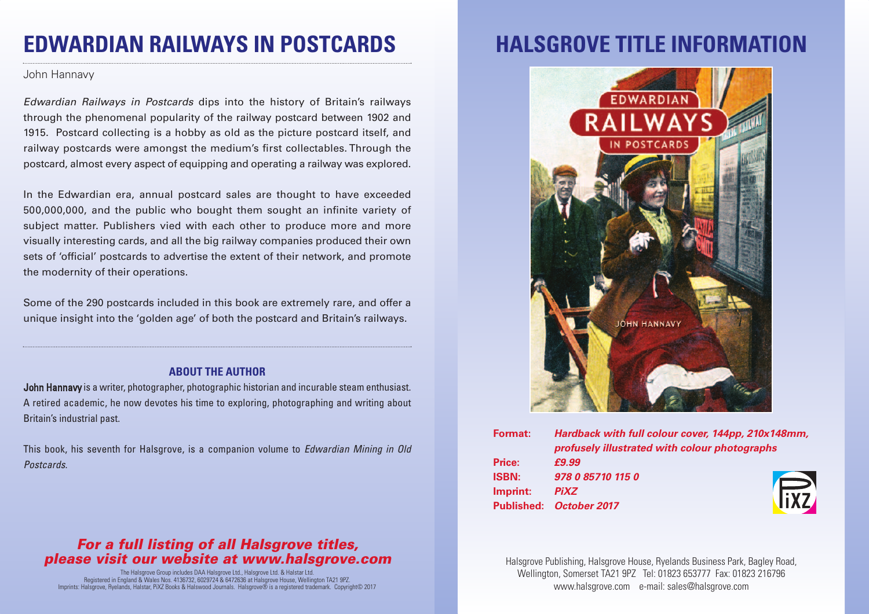## **EDWARDIAN RAILWAYS IN POSTCARDS**

John Hannavy

*Edwardian Railways in Postcards* dips into the history of Britain's railways through the phenomenal popularity of the railway postcard between 1902 and 1915. Postcard collecting is a hobby as old as the picture postcard itself, and railway postcards were amongst the medium's first collectables. Through the postcard, almost every aspect of equipping and operating a railway was explored.

In the Edwardian era, annual postcard sales are thought to have exceeded 500,000,000, and the public who bought them sought an infinite variety of subject matter. Publishers vied with each other to produce more and more visually interesting cards, and all the big railway companies produced their own sets of 'official' postcards to advertise the extent of their network, and promote the modernity of their operations.

Some of the 290 postcards included in this book are extremely rare, and offer a unique insight into the 'golden age' of both the postcard and Britain's railways.

### **ABOUT THE AUTHOR**

John Hannavy is a writer, photographer, photographic historian and incurable steam enthusiast. A retired academic, he now devotes his time to exploring, photographing and writing about Britain's industrial past.

This book, his seventh for Halsgrove, is a companion volume to *Edwardian Mining in Old Postcards*.

### *For a full listing of all Halsgrove titles, please visit our website at www.halsgrove.com*

The Halsgrove Group includes DAA Halsgrove Ltd., Halsgrove Ltd. & Halstar Ltd. Registered in England & Wales Nos. 4136732, 6029724 & 6472636 at Halsgrove House, Wellington TA21 9PZ. Imprints: Halsgrove, Ryelands, Halstar, PiXZ Books & Halswood Journals. Halsgrove® is a registered trademark. Copyright© 2017

# **HALSGROVE TITLE INFORMATION**



| Format:      | Hardback with full colour cover, 144pp, 210x148mm, |
|--------------|----------------------------------------------------|
|              | profusely illustrated with colour photographs      |
| Price:       | £9.99                                              |
| <b>ISBN:</b> | 978 0 85710 115 0                                  |
| Imprint:     | <b>Tixz</b><br><b>PiXZ</b>                         |
|              | Published: October 2017                            |

Halsgrove Publishing, Halsgrove House, Ryelands Business Park, Bagley Road, Wellington, Somerset TA21 9PZ Tel: 01823 653777 Fax: 01823 216796 www.halsgrove.com e-mail: sales@halsgrove.com